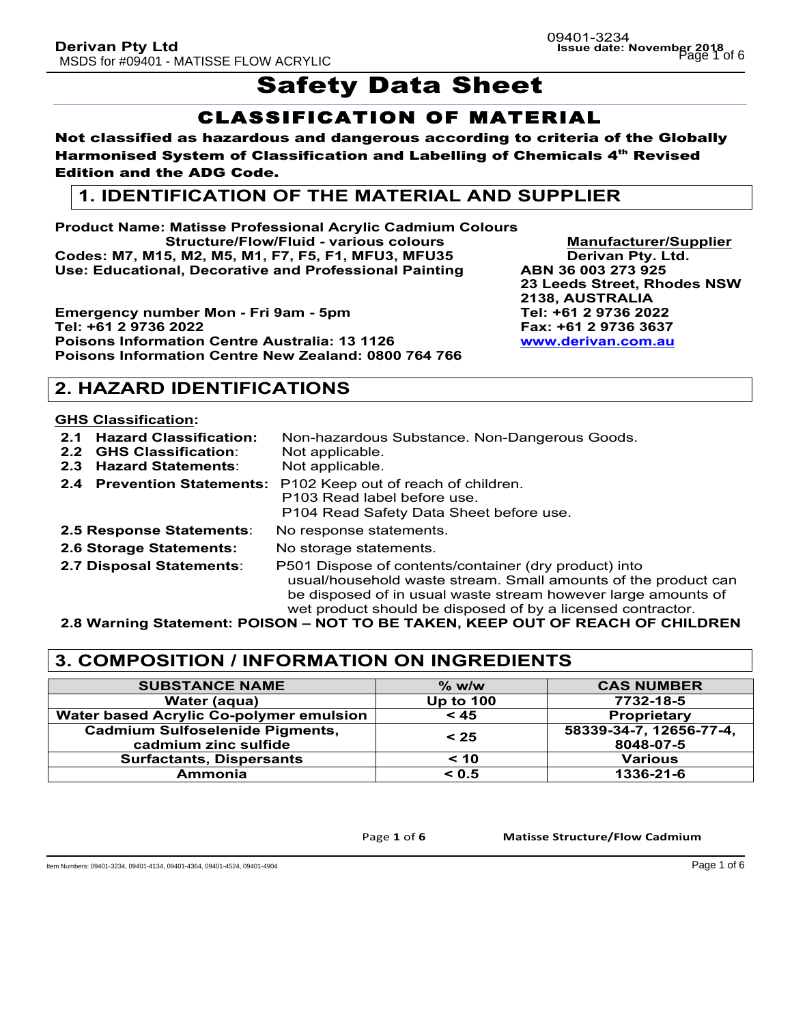# Safety Data Sheet

## CLASSIFICATION OF MATERIAL

### Not classified as hazardous and dangerous according to criteria of the Globally Harmonised System of Classification and Labelling of Chemicals 4<sup>th</sup> Revised Edition and the ADG Code.

## **1. IDENTIFICATION OF THE MATERIAL AND SUPPLIER**

**Product Name: Matisse Professional Acrylic Cadmium Colours Structure/Flow/Fluid - various colours Manufacturer/Supplier Codes: M7, M15, M2, M5, M1, F7, F5, F1, MFU3, MFU35 Derivan Pty. Ltd. Use: Educational, Decorative and Professional Painting ABN 36 003 273 925**

**Emergency number Mon - Fri 9am - 5pm**  $\blacksquare$  **Tel: +61 2 9736 2022 Tel: +61 2 9736 2022 Fax: +61 2 9736 3637 Poisons Information Centre Australia: 13 1126 Poisons Information Centre New Zealand: 0800 764 766** 

**23 Leeds Street, Rhodes NSW 2138, AUSTRALIA** 

## **2. HAZARD IDENTIFICATIONS**

### **GHS Classification:**

- **2.1 Hazard Classification:** Non-hazardous Substance. Non-Dangerous Goods. **2.2 GHS Classification**: Not applicable.
- **2.3 Hazard Statements**: Not applicable.
- 
- **2.4 Prevention Statements:** P102 Keep out of reach of children. P103 Read label before use. P104 Read Safety Data Sheet before use. **2.5 Response Statements**: No response statements.
- 
- **2.6 Storage Statements:** No storage statements.
- 
- 
- **2.7 Disposal Statements**: P501 Dispose of contents/container (dry product) into usual/household waste stream. Small amounts of the product can be disposed of in usual waste stream however large amounts of wet product should be disposed of by a licensed contractor.

**2.8 Warning Statement: POISON – NOT TO BE TAKEN, KEEP OUT OF REACH OF CHILDREN** 

## **3. COMPOSITION / INFORMATION ON INGREDIENTS**

| <b>SUBSTANCE NAME</b>                   | $\%$ w/w         | <b>CAS NUMBER</b>       |
|-----------------------------------------|------------------|-------------------------|
| Water (aqua)                            | <b>Up to 100</b> | 7732-18-5               |
| Water based Acrylic Co-polymer emulsion | < 45             | Proprietary             |
| <b>Cadmium Sulfoselenide Pigments,</b>  | < 25             | 58339-34-7, 12656-77-4, |
| cadmium zinc sulfide                    |                  | 8048-07-5               |
| <b>Surfactants, Dispersants</b>         | < 10             | <b>Various</b>          |
| Ammonia                                 | < 0.5            | 1336-21-6               |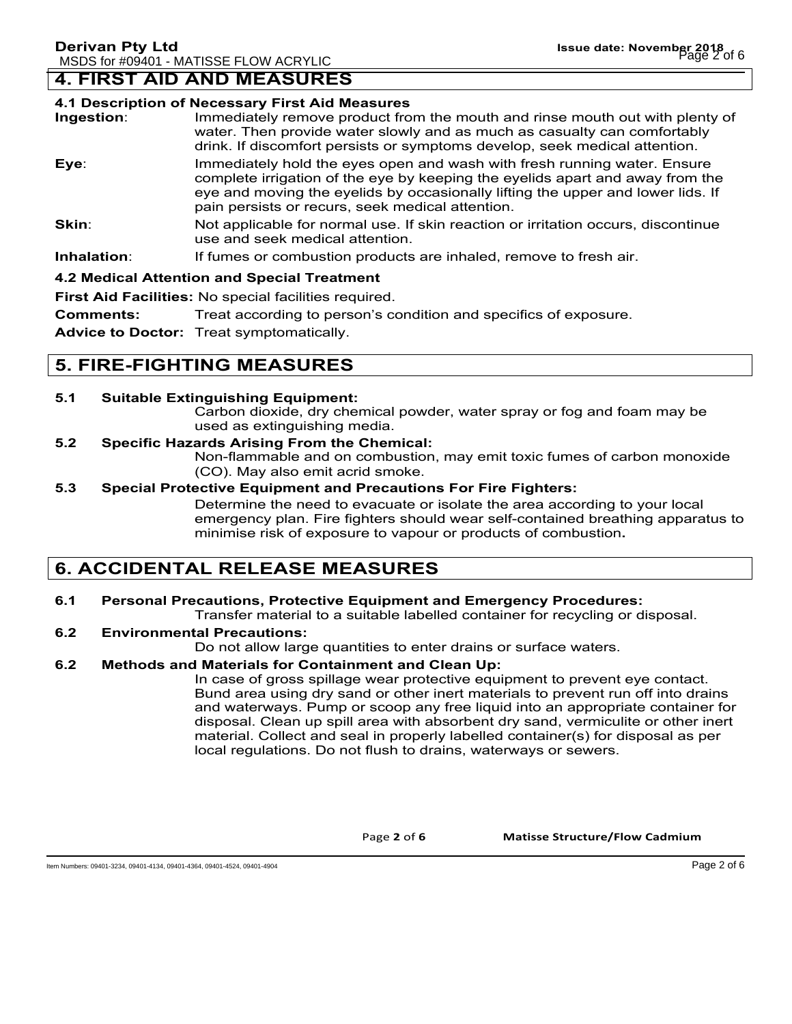## **4. FIRST AID AND MEASURES**

#### **4.1 Description of Necessary First Aid Measures**

- **Ingestion**: Immediately remove product from the mouth and rinse mouth out with plenty of water. Then provide water slowly and as much as casualty can comfortably drink. If discomfort persists or symptoms develop, seek medical attention.
- **Eye**: Immediately hold the eyes open and wash with fresh running water. Ensure complete irrigation of the eye by keeping the eyelids apart and away from the eye and moving the eyelids by occasionally lifting the upper and lower lids. If pain persists or recurs, seek medical attention.
- **Skin:** Not applicable for normal use. If skin reaction or irritation occurs, discontinue use and seek medical attention.
- **Inhalation:** If fumes or combustion products are inhaled, remove to fresh air.

#### **4.2 Medical Attention and Special Treatment**

**First Aid Facilities:** No special facilities required.

**Comments:** Treat according to person's condition and specifics of exposure.

**Advice to Doctor:** Treat symptomatically.

## **5. FIRE-FIGHTING MEASURES**

### **5.1 Suitable Extinguishing Equipment:**

Carbon dioxide, dry chemical powder, water spray or fog and foam may be used as extinguishing media.

### **5.2 Specific Hazards Arising From the Chemical:**

Non-flammable and on combustion, may emit toxic fumes of carbon monoxide (CO). May also emit acrid smoke.

### **5.3 Special Protective Equipment and Precautions For Fire Fighters:**

Determine the need to evacuate or isolate the area according to your local emergency plan. Fire fighters should wear self-contained breathing apparatus to minimise risk of exposure to vapour or products of combustion**.**

## **6. ACCIDENTAL RELEASE MEASURES**

### **6.1 Personal Precautions, Protective Equipment and Emergency Procedures:**

Transfer material to a suitable labelled container for recycling or disposal.

### **6.2 Environmental Precautions:**

Do not allow large quantities to enter drains or surface waters.

#### **6.2 Methods and Materials for Containment and Clean Up:**

In case of gross spillage wear protective equipment to prevent eye contact. Bund area using dry sand or other inert materials to prevent run off into drains and waterways. Pump or scoop any free liquid into an appropriate container for disposal. Clean up spill area with absorbent dry sand, vermiculite or other inert material. Collect and seal in properly labelled container(s) for disposal as per local regulations. Do not flush to drains, waterways or sewers.

Page 2 of 6 **Matisse Structure/Flow Cadmium**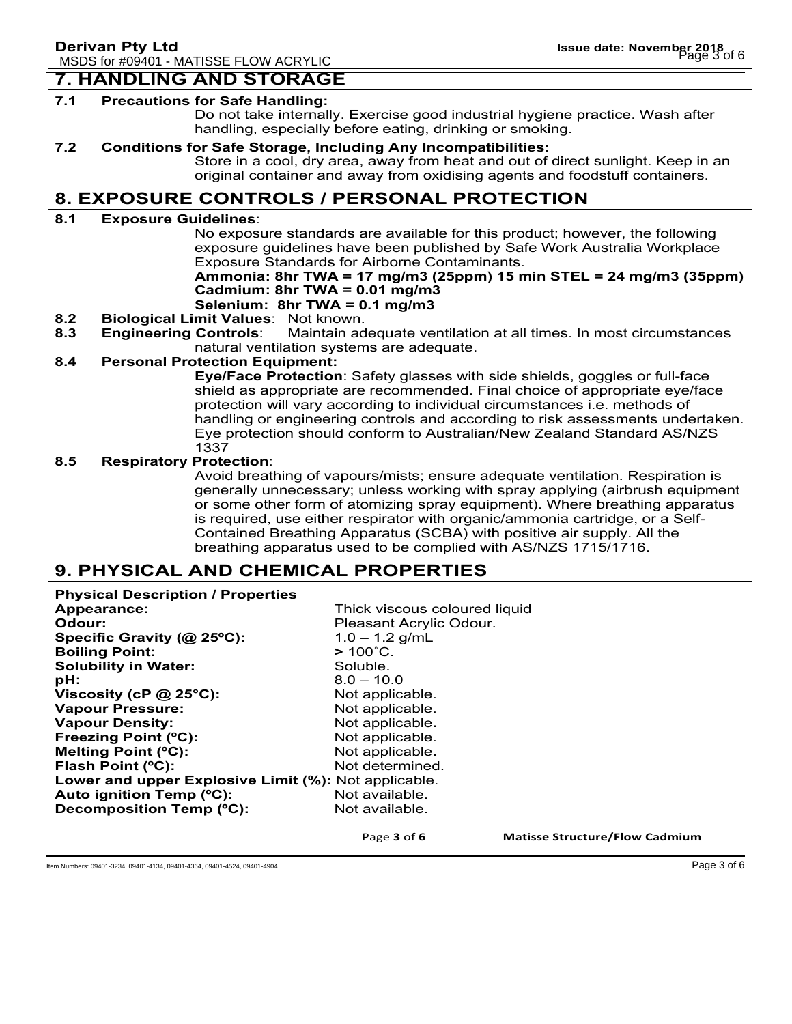## **7. HANDLING AND STORAGE**

#### **7.1 Precautions for Safe Handling:**

Do not take internally. Exercise good industrial hygiene practice. Wash after handling, especially before eating, drinking or smoking.

#### **7.2 Conditions for Safe Storage, Including Any Incompatibilities:**

Store in a cool, dry area, away from heat and out of direct sunlight. Keep in an original container and away from oxidising agents and foodstuff containers.

## **8. EXPOSURE CONTROLS / PERSONAL PROTECTION**

#### **8.1 Exposure Guidelines**:

No exposure standards are available for this product; however, the following exposure guidelines have been published by Safe Work Australia Workplace Exposure Standards for Airborne Contaminants.

## **Ammonia: 8hr TWA = 17 mg/m3 (25ppm) 15 min STEL = 24 mg/m3 (35ppm) Cadmium: 8hr TWA = 0.01 mg/m3**

### **Selenium: 8hr TWA = 0.1 mg/m3**

- **8.2 Biological Limit Values**: Not known.
- **8.3 Engineering Controls**: Maintain adequate ventilation at all times. In most circumstances natural ventilation systems are adequate.

#### **8.4 Personal Protection Equipment:**

**Eye/Face Protection**: Safety glasses with side shields, goggles or full-face shield as appropriate are recommended. Final choice of appropriate eye/face protection will vary according to individual circumstances i.e. methods of handling or engineering controls and according to risk assessments undertaken. Eye protection should conform to Australian/New Zealand Standard AS/NZS 1337

#### **8.5 Respiratory Protection**:

Avoid breathing of vapours/mists; ensure adequate ventilation. Respiration is generally unnecessary; unless working with spray applying (airbrush equipment or some other form of atomizing spray equipment). Where breathing apparatus is required, use either respirator with organic/ammonia cartridge, or a Self-Contained Breathing Apparatus (SCBA) with positive air supply. All the breathing apparatus used to be complied with AS/NZS 1715/1716.

### **9. PHYSICAL AND CHEMICAL PROPERTIES**

**Physical Description / Properties Appearance:** Thick viscous coloured liquid **Odour: Pleasant Acrylic Odour. Specific Gravity (@ 25ºC):** 1.0 – 1.2 g/mL **Boiling Point: >** 100˚C. **Solubility in Water:** Soluble. **pH:** 8.0 – 10.0 **Viscosity (cP @ 25°C):** Not applicable. Vapour Pressure: Not applicable. **Vapour Density:** Not applicable. **Freezing Point (°C):** Not applicable. **Melting Point (°C):** Not applicable. **Flash Point (°C):** Not determined. **Lower and upper Explosive Limit (%):** Not applicable. Auto ignition Temp (°C): Not available. **Decomposition Temp (°C):** Not available.

Page 3 of 6 **Matisse Structure/Flow Cadmium** 

Item Numbers: 09401-3234, 09401-4134, 09401-4364, 09401-4524, 09401-4904 Page 3 of 6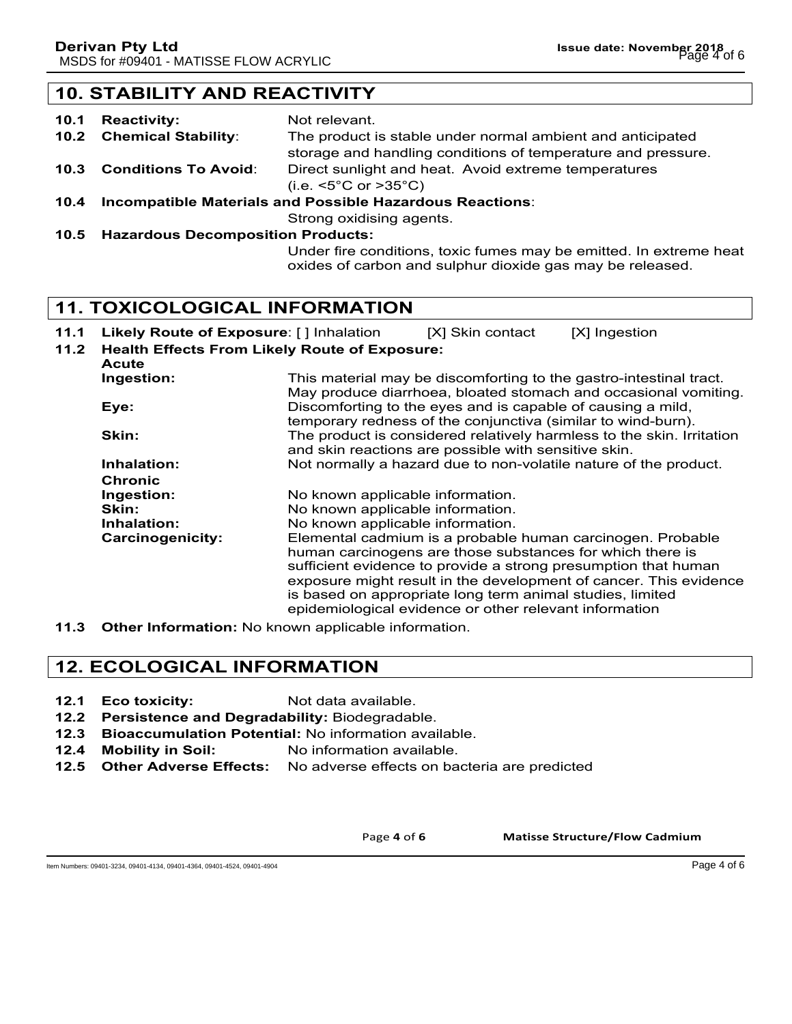## **10. STABILITY AND REACTIVITY**

| 10.1 | <b>Reactivity:</b>                                              | Not relevant.                                                      |  |
|------|-----------------------------------------------------------------|--------------------------------------------------------------------|--|
|      | 10.2 Chemical Stability:                                        | The product is stable under normal ambient and anticipated         |  |
|      |                                                                 | storage and handling conditions of temperature and pressure.       |  |
| 10.3 | <b>Conditions To Avoid:</b>                                     | Direct sunlight and heat. Avoid extreme temperatures               |  |
|      |                                                                 | (i.e. $\leq 5^{\circ}$ C or $> 35^{\circ}$ C)                      |  |
| 10.4 | <b>Incompatible Materials and Possible Hazardous Reactions:</b> |                                                                    |  |
|      |                                                                 | Strong oxidising agents.                                           |  |
|      |                                                                 | 10.5 Hazardous Decomposition Products:                             |  |
|      |                                                                 | Under fire conditions, toxic fumes may be emitted. In extreme heat |  |

oxides of carbon and sulphur dioxide gas may be released.

**11. TOXICOLOGICAL INFORMATION**

- **11.1 Likely Route of Exposure**: [ ] Inhalation [X] Skin contact [X] Ingestion
	-
- **11.2 Health Effects From Likely Route of Exposure: Acute Ingestion:** This material may be discomforting to the gastro-intestinal tract. May produce diarrhoea, bloated stomach and occasional vomiting. **Eye: Exercise Exercise Eye:** Discomforting to the eyes and is capable of causing a mild, temporary redness of the conjunctiva (similar to wind-burn). **Skin:** The product is considered relatively harmless to the skin. Irritation and skin reactions are possible with sensitive skin. **Inhalation:** Not normally a hazard due to non-volatile nature of the product. **Chronic Ingestion:** No known applicable information. **Skin:** No known applicable information. **Inhalation:** No known applicable information. **Carcinogenicity:** Elemental cadmium is a probable human carcinogen. Probable human carcinogens are those substances for which there is sufficient evidence to provide a strong presumption that human exposure might result in the development of cancer. This evidence is based on appropriate long term animal studies, limited epidemiological evidence or other relevant information
- **11.3 Other Information:** No known applicable information.

## **12. ECOLOGICAL INFORMATION**

- **12.1 Eco toxicity:** Not data available.
- **12.2 Persistence and Degradability:** Biodegradable.
- **12.3 Bioaccumulation Potential:** No information available.
- **12.4 Mobility in Soil:** No information available.
- **12.5 Other Adverse Effects:** No adverse effects on bacteria are predicted

Page 4 of 6 **Matisse Structure/Flow Cadmium** 

Item Numbers: 09401-3234, 09401-4134, 09401-4364, 09401-4524, 09401-4904 Page 4 of 6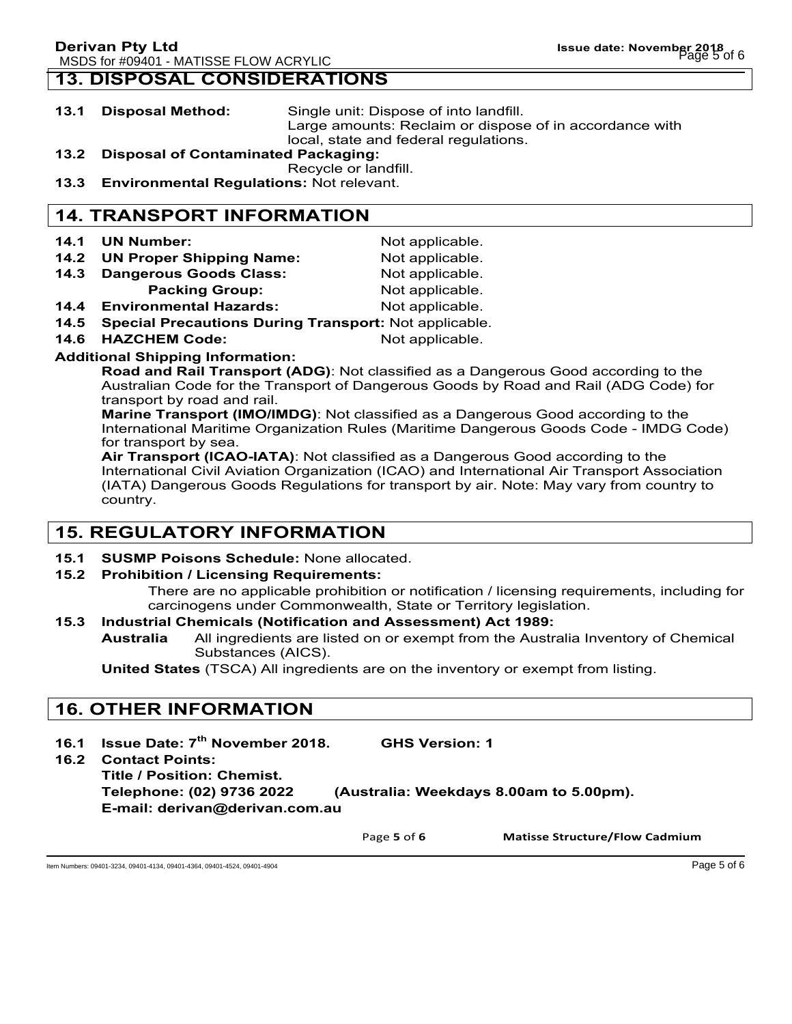## **13. DISPOSAL CONSIDERATIONS**

- **13.1 Disposal Method:** Single unit: Dispose of into landfill. Large amounts: Reclaim or dispose of in accordance with local, state and federal regulations.
- **13.2 Disposal of Contaminated Packaging:**
	- Recycle or landfill.
- **13.3 Environmental Regulations:** Not relevant.

## **14. TRANSPORT INFORMATION**

- **14.1 UN Number:** Not applicable.
- **14.2 UN Proper Shipping Name:** Not applicable.
- 14.3 Dangerous Goods Class: Not applicable.
	- **Packing Group:** Not applicable.
- **14.4 Environmental Hazards:** Not applicable.
- **14.5 Special Precautions During Transport:** Not applicable.
- **14.6 HAZCHEM Code:** Not applicable.

### **Additional Shipping Information:**

**Road and Rail Transport (ADG)**: Not classified as a Dangerous Good according to the Australian Code for the Transport of Dangerous Goods by Road and Rail (ADG Code) for transport by road and rail.

**Marine Transport (IMO/IMDG)**: Not classified as a Dangerous Good according to the International Maritime Organization Rules (Maritime Dangerous Goods Code - IMDG Code) for transport by sea.

**Air Transport (ICAO-IATA)**: Not classified as a Dangerous Good according to the International Civil Aviation Organization (ICAO) and International Air Transport Association (IATA) Dangerous Goods Regulations for transport by air. Note: May vary from country to country.

## **15. REGULATORY INFORMATION**

**15.1 SUSMP Poisons Schedule:** None allocated.

### **15.2 Prohibition / Licensing Requirements:**

There are no applicable prohibition or notification / licensing requirements, including for carcinogens under Commonwealth, State or Territory legislation.

### **15.3 Industrial Chemicals (Notification and Assessment) Act 1989:**

**Australia** All ingredients are listed on or exempt from the Australia Inventory of Chemical Substances (AICS).

**United States** (TSCA) All ingredients are on the inventory or exempt from listing.

## **16. OTHER INFORMATION**

- **16.1 Issue Date: 7th November 2018. GHS Version: 1**
- **16.2 Contact Points:**

**Title / Position: Chemist. Telephone: (02) 9736 2022 (Australia: Weekdays 8.00am to 5.00pm).**

**E-mail: derivan@derivan.com.au**

Page 5 of 6 **Matisse Structure/Flow Cadmium** 

Item Numbers: 09401-3234, 09401-4134, 09401-4364, 09401-4524, 09401-4904 Page 5 of 6